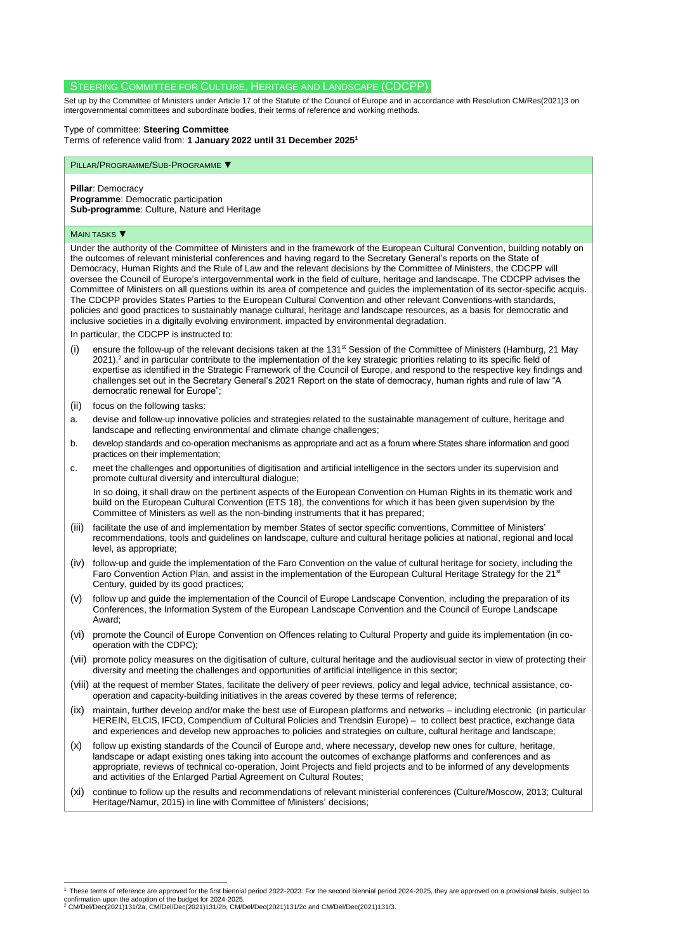# STEERING COMMITTEE FOR CULTURE, HERITAGE AND LANDSCAPE (CDCPP)

Set up by the Committee of Ministers under Article 17 of the Statute of the Council of Europe and in accordance with Resolutio[n CM/Res\(2021\)3](https://search.coe.int/cm/Pages/result_details.aspx?Reference=CM/Res(2021)3) on intergovernmental committees and subordinate bodies, their terms of reference and working methods.

## Type of committee: **Steering Committee**

Terms of reference valid from: **1 January 2022 until 31 December 2025<sup>1</sup>**

#### PILLAR/PROGRAMME/SUB-PROGRAMME ▼

**Pillar**: Democracy **Programme**: Democratic participation **Sub-programme**: Culture, Nature and Heritage

#### **MAIN TASKS** ▼

1

Under the authority of the Committee of Ministers and in the framework of the European Cultural Convention, building notably on the outcomes of relevant ministerial conferences and having regard to the Secretary General's reports on the State of Democracy, Human Rights and the Rule of Law and the relevant decisions by the Committee of Ministers, the CDCPP will oversee the Council of Europe's intergovernmental work in the field of culture, heritage and landscape. The CDCPP advises the Committee of Ministers on all questions within its area of competence and guides the implementation of its sector-specific acquis. The CDCPP provides States Parties to the European Cultural Convention and other relevant Conventions with standards, policies and good practices to sustainably manage cultural, heritage and landscape resources, as a basis for democratic and inclusive societies in a digitally evolving environment, impacted by environmental degradation.

In particular, the CDCPP is instructed to:

- (i) ensure the follow-up of the relevant decisions taken at the 131<sup>st</sup> Session of the Committee of Ministers (Hamburg, 21 May 2021),<sup>2</sup> and in particular contribute to the implementation of the key strategic priorities relating to its specific field of expertise as identified in the Strategic Framework of the Council of Europe, and respond to the respective key findings and challenges set out in the Secretary General's 2021 Report on the state of democracy, human rights and rule of law "A democratic renewal for Europe";
- (ii) focus on the following tasks:
- a. devise and follow-up innovative policies and strategies related to the sustainable management of culture, heritage and landscape and reflecting environmental and climate change challenges:
- b. develop standards and co-operation mechanisms as appropriate and act as a forum where States share information and good practices on their implementation;
- c. meet the challenges and opportunities of digitisation and artificial intelligence in the sectors under its supervision and promote cultural diversity and intercultural dialogue;

In so doing, it shall draw on the pertinent aspects of the European Convention on Human Rights in its thematic work and build on the European Cultural Convention (ETS 18), the conventions for which it has been given supervision by the Committee of Ministers as well as the non-binding instruments that it has prepared;

- (iii) facilitate the use of and implementation by member States of sector specific conventions, Committee of Ministers' recommendations, tools and guidelines on landscape, culture and cultural heritage policies at national, regional and local level, as appropriate;
- (iv) follow-up and guide the implementation of the Faro Convention on the value of cultural heritage for society, including the Faro Convention Action Plan, and assist in the implementation of the European Cultural Heritage Strategy for the 21<sup>st</sup> Century, quided by its good practices;
- (v) follow up and guide the implementation of the Council of Europe Landscape Convention, including the preparation of its Conferences, the Information System of the European Landscape Convention and the Council of Europe Landscape Award;
- (vi) promote the Council of Europe Convention on Offences relating to Cultural Property and guide its implementation (in cooperation with the CDPC);
- (vii) promote policy measures on the digitisation of culture, cultural heritage and the audiovisual sector in view of protecting their diversity and meeting the challenges and opportunities of artificial intelligence in this sector;
- (viii) at the request of member States, facilitate the delivery of peer reviews, policy and legal advice, technical assistance, cooperation and capacity-building initiatives in the areas covered by these terms of reference;
- (ix) maintain, further develop and/or make the best use of European platforms and networks including electronic (in particular HEREIN, ELCIS, IFCD, Compendium of Cultural Policies and Trendsin Europe) – to collect best practice, exchange data and experiences and develop new approaches to policies and strategies on culture, cultural heritage and landscape;
- (x) follow up existing standards of the Council of Europe and, where necessary, develop new ones for culture, heritage, landscape or adapt existing ones taking into account the outcomes of exchange platforms and conferences and as appropriate, reviews of technical co-operation, Joint Projects and field projects and to be informed of any developments and activities of the Enlarged Partial Agreement on Cultural Routes;
- (xi) continue to follow up the results and recommendations of relevant ministerial conferences (Culture/Moscow, 2013; Cultural Heritage/Namur, 2015) in line with Committee of Ministers' decisions;

These terms of reference are approved for the first biennial period 2022-2023. For the second biennial period 2024-2025, they are approved on a provisional basis, subject to confirmation upon the adoption of the budget for 2024-2025. <sup>2</sup> [CM/Del/Dec\(2021\)131/2a,](https://search.coe.int/cm/Pages/result_details.aspx?Reference=CM/Del/Dec(2021)131/2a) [CM/Del/Dec\(2021\)131/2b,](https://search.coe.int/cm/Pages/result_details.aspx?Reference=CM/Del/Dec(2021)131/2b) [CM/Del/Dec\(2021\)131/2c](https://search.coe.int/cm/Pages/result_details.aspx?Reference=CM/Del/Dec(2021)131/2c) an[d CM/Del/Dec\(2021\)131/3.](https://search.coe.int/cm/Pages/result_details.aspx?Reference=CM/Del/Dec(2021)131/3)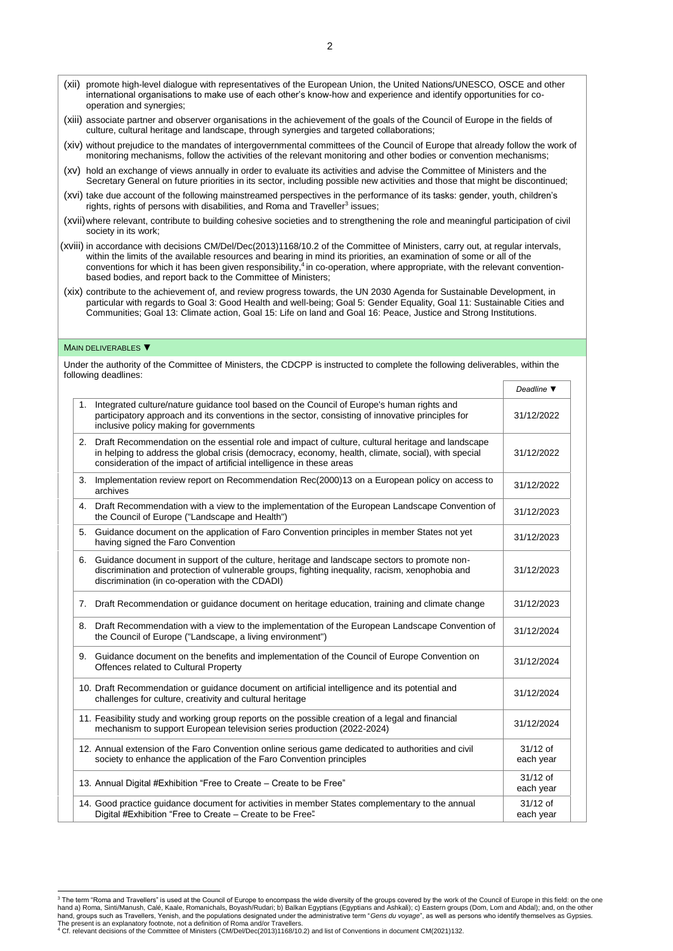- (xii) promote high-level dialogue with representatives of the European Union, the United Nations/UNESCO, OSCE and other international organisations to make use of each other's know-how and experience and identify opportunities for cooperation and synergies;
- (xiii) associate partner and observer organisations in the achievement of the goals of the Council of Europe in the fields of culture, cultural heritage and landscape, through synergies and targeted collaborations;
- (xiv) without prejudice to the mandates of intergovernmental committees of the Council of Europe that already follow the work of monitoring mechanisms, follow the activities of the relevant monitoring and other bodies or convention mechanisms;
- (xv) hold an exchange of views annually in order to evaluate its activities and advise the Committee of Ministers and the Secretary General on future priorities in its sector, including possible new activities and those that might be discontinued;
- (xvi) take due account of the following mainstreamed perspectives in the performance of its tasks: gender, youth, children's rights, rights of persons with disabilities, and Roma and Traveller<sup>3</sup> issues;
- (xvii)where relevant, contribute to building cohesive societies and to strengthening the role and meaningful participation of civil society in its work;
- (xviii) in accordance with decision[s CM/Del/Dec\(2013\)1168/10.2](https://search.coe.int/cm/Pages/result_details.aspx?Reference=CM/Del/Dec(2013)1168/10.2) of the Committee of Ministers, carry out, at regular intervals, within the limits of the available resources and bearing in mind its priorities, an examination of some or all of the conventions for which it has been given responsibility,<sup>4</sup> in co-operation, where appropriate, with the relevant conventionbased bodies, and report back to the Committee of Ministers;
- (xix) contribute to the achievement of, and review progress towards, the UN 2030 Agenda for Sustainable Development, in particular with regards to Goal 3: Good Health and well-being; Goal 5: Gender Equality, Goal 11: Sustainable Cities and Communities; Goal 13: Climate action, Goal 15: Life on land and Goal 16: Peace, Justice and Strong Institutions.

### MAIN DELIVERABLES ▼

Under the authority of the Committee of Ministers, the CDCPP is instructed to complete the following deliverables, within the following deadlines:

|    |                                                                                                                                                                                                                                                                                   | Deadline $\P$           |
|----|-----------------------------------------------------------------------------------------------------------------------------------------------------------------------------------------------------------------------------------------------------------------------------------|-------------------------|
| 1. | Integrated culture/nature guidance tool based on the Council of Europe's human rights and<br>participatory approach and its conventions in the sector, consisting of innovative principles for<br>inclusive policy making for governments                                         | 31/12/2022              |
| 2. | Draft Recommendation on the essential role and impact of culture, cultural heritage and landscape<br>in helping to address the global crisis (democracy, economy, health, climate, social), with special<br>consideration of the impact of artificial intelligence in these areas | 31/12/2022              |
| 3. | Implementation review report on Recommendation Rec(2000)13 on a European policy on access to<br>archives                                                                                                                                                                          | 31/12/2022              |
|    | 4. Draft Recommendation with a view to the implementation of the European Landscape Convention of<br>the Council of Europe ("Landscape and Health")                                                                                                                               | 31/12/2023              |
| 5. | Guidance document on the application of Faro Convention principles in member States not yet<br>having signed the Faro Convention                                                                                                                                                  | 31/12/2023              |
| 6. | Guidance document in support of the culture, heritage and landscape sectors to promote non-<br>discrimination and protection of vulnerable groups, fighting inequality, racism, xenophobia and<br>discrimination (in co-operation with the CDADI)                                 | 31/12/2023              |
| 7. | Draft Recommendation or guidance document on heritage education, training and climate change                                                                                                                                                                                      | 31/12/2023              |
| 8. | Draft Recommendation with a view to the implementation of the European Landscape Convention of<br>the Council of Europe ("Landscape, a living environment")                                                                                                                       | 31/12/2024              |
|    | 9. Guidance document on the benefits and implementation of the Council of Europe Convention on<br>Offences related to Cultural Property                                                                                                                                           | 31/12/2024              |
|    | 10. Draft Recommendation or guidance document on artificial intelligence and its potential and<br>challenges for culture, creativity and cultural heritage                                                                                                                        | 31/12/2024              |
|    | 11. Feasibility study and working group reports on the possible creation of a legal and financial<br>mechanism to support European television series production (2022-2024)                                                                                                       | 31/12/2024              |
|    | 12. Annual extension of the Faro Convention online serious game dedicated to authorities and civil<br>society to enhance the application of the Faro Convention principles                                                                                                        | $31/12$ of<br>each year |
|    | 13. Annual Digital #Exhibition "Free to Create – Create to be Free"                                                                                                                                                                                                               | $31/12$ of<br>each year |
|    | 14. Good practice guidance document for activities in member States complementary to the annual<br>Digital #Exhibition "Free to Create - Create to be Free"                                                                                                                       | $31/12$ of<br>each year |

<sup>1</sup> <sup>3</sup> The term "Roma and Travellers" is used at the Council of Europe to encompass the wide diversity of the groups covered by the work of the Council of Europe in this field: on the one hand a) Roma, Sinti/Manush, Calé, Kaale, Romanichals, Boyash/Rudari; b) Balkan Egyptians (Egyptians and Ashkali); c) Eastern groups (Dom, Lom and Abdal); and, on the other<br>hand, groups such as Travellers, Yenish, and the

<sup>4</sup> Cf. relevant decisions of the Committee of Ministers [\(CM/Del/Dec\(2013\)1168/10.2\)](https://search.coe.int/cm/Pages/result_details.aspx?Reference=CM/Del/Dec(2013)1168/10.2) and list of Conventions in documen[t CM\(2021\)132.](https://search.coe.int/cm/Pages/result_details.aspx?Reference=CM(2021)132)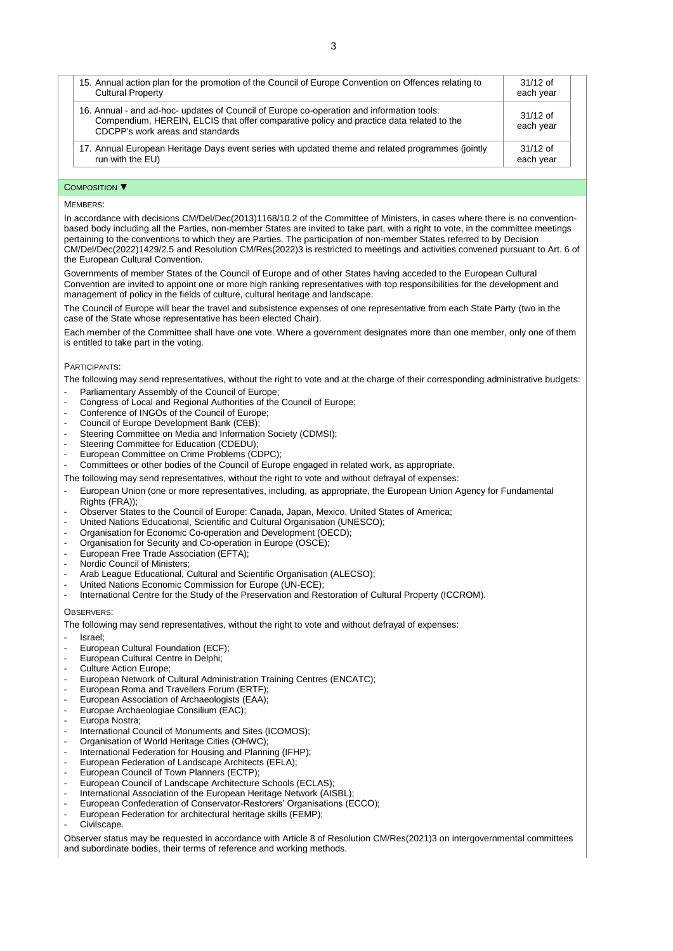| 15. Annual action plan for the promotion of the Council of Europe Convention on Offences relating to                                                                                                                      | $31/12$ of              |
|---------------------------------------------------------------------------------------------------------------------------------------------------------------------------------------------------------------------------|-------------------------|
| <b>Cultural Property</b>                                                                                                                                                                                                  | each year               |
| 16. Annual - and ad-hoc- updates of Council of Europe co-operation and information tools:<br>Compendium, HEREIN, ELCIS that offer comparative policy and practice data related to the<br>CDCPP's work areas and standards | $31/12$ of<br>each year |
| 17. Annual European Heritage Days event series with updated theme and related programmes (jointly                                                                                                                         | $31/12$ of              |
| run with the EU)                                                                                                                                                                                                          | each year               |

## COMPOSITION ▼

### MEMBERS<sup>.</sup>

In accordance with decisions [CM/Del/Dec\(2013\)1168/10.2](https://search.coe.int/cm/Pages/result_details.aspx?Reference=CM/Del/Dec(2013)1168/10.2) of the Committee of Ministers, in cases where there is no conventionbased body including all the Parties, non-member States are invited to take part, with a right to vote, in the committee meetings pertaining to the conventions to which they are Parties. The participation of non-member States referred to by Decision [CM/Del/Dec\(2022\)1429/2.5](https://search.coe.int/cm/Pages/result_details.aspx?Reference=CM/Del/Dec(2022)1429/2.5) and Resolution [CM/Res\(2022\)3](https://search.coe.int/cm/Pages/result_details.aspx?Reference=CM/Res(2022)3) is restricted to meetings and activities convened pursuant to Art. 6 of the European Cultural Convention.

Governments of member States of the Council of Europe and of other States having acceded to the European Cultural Convention are invited to appoint one or more high ranking representatives with top responsibilities for the development and management of policy in the fields of culture, cultural heritage and landscape.

The Council of Europe will bear the travel and subsistence expenses of one representative from each State Party (two in the case of the State whose representative has been elected Chair).

Each member of the Committee shall have one vote. Where a government designates more than one member, only one of them is entitled to take part in the voting.

## PARTICIPANTS:

The following may send representatives, without the right to vote and at the charge of their corresponding administrative budgets:

- Parliamentary Assembly of the Council of Europe;
- Congress of Local and Regional Authorities of the Council of Europe;
- Conference of INGOs of the Council of Europe;
- Council of Europe Development Bank (CEB);
- Steering Committee on Media and Information Society (CDMSI);
- Steering Committee for Education (CDEDU);
- European Committee on Crime Problems (CDPC);
- Committees or other bodies of the Council of Europe engaged in related work, as appropriate.

The following may send representatives, without the right to vote and without defrayal of expenses:

- European Union (one or more representatives, including, as appropriate, the European Union Agency for Fundamental Rights (FRA));
- Observer States to the Council of Europe: Canada, Japan, Mexico, United States of America;
- United Nations Educational, Scientific and Cultural Organisation (UNESCO);
- Organisation for Economic Co-operation and Development (OECD);
- Organisation for Security and Co-operation in Europe (OSCE);
- European Free Trade Association (EFTA);
- Nordic Council of Ministers;
- Arab League Educational, Cultural and Scientific Organisation (ALECSO);
- United Nations Economic Commission for Europe (UN-ECE);
- International Centre for the Study of the Preservation and Restoration of Cultural Property (ICCROM).

## OBSERVERS:

The following may send representatives, without the right to vote and without defrayal of expenses:

- Israel;
- European Cultural Foundation (ECF);
- European Cultural Centre in Delphi;
- Culture Action Europe;
- European Network of Cultural Administration Training Centres (ENCATC);
- European Roma and Travellers Forum (ERTF);
- European Association of Archaeologists (EAA);
- 
- Europa Nostra;
- International Council of Monuments and Sites (ICOMOS);
- Organisation of World Heritage Cities (OHWC);
- International Federation for Housing and Planning (IFHP);
- European Federation of Landscape Architects (EFLA);
- European Council of Town Planners (ECTP);
- European Council of Landscape Architecture Schools (ECLAS);
- International Association of the European Heritage Network (AISBL);
- European Confederation of Conservator-Restorers' Organisations (ECCO);
- European Federation for architectural heritage skills (FEMP);
- Civilscape.

Observer status may be requested in accordance with Article 8 of Resolution [CM/Res\(2021\)3](https://search.coe.int/cm/Pages/result_details.aspx?Reference=CM/Res(2021)3) on intergovernmental committees and subordinate bodies, their terms of reference and working methods.

- Europae Archaeologiae Consilium (EAC);
-